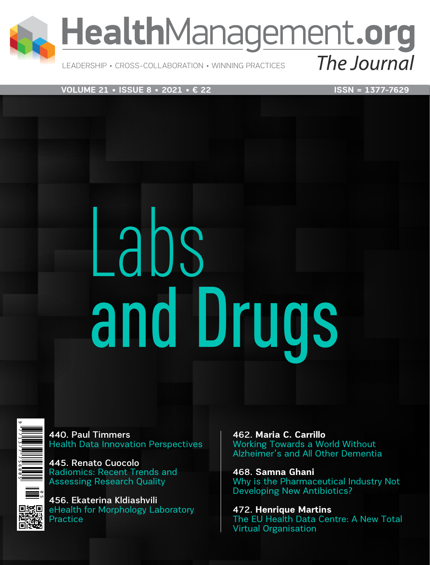

## HealthManagement.org

LEADERSHIP • CROSS-COLLABORATION • WINNING PRACTICES

**VOLUME 21 • ISSUE 8 • 2021 • € 22** ISSN = 1377-7629

The Journal

# Labs and Drugs



440. Paul Timmers Health Data Innovation Perspectives

445. Renato Cuocolo Radiomics: Recent Trends and Assessing Research Quality

456. Ekaterina Kldiashvili eHealth for Morphology Laboratory Practice

462. **Maria C. Carrillo** Working Towards a World Without Alzheimer's and All Other Dementia

468. **Samna Ghani** Why is the Pharmaceutical Industry Not Developing New Antibiotics?

472. **Henrique Martins**  The EU Health Data Centre: A New Total Virtual Organisation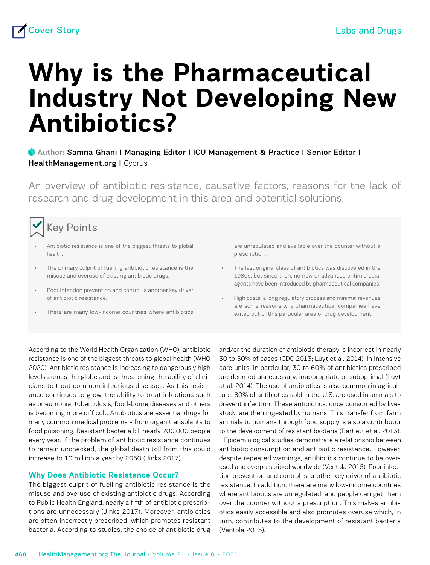### **Why is the Pharmaceutical Industry Not Developing New Antibiotics?**

#### Author: [Samna Ghani](https://healthmanagement.org/viewProfile/72945/Samna_Ghani) I Managing Editor I ICU Management & Practice I Senior Editor I HealthManagement.org I Cyprus

An overview of antibiotic resistance, causative factors, reasons for the lack of research and drug development in this area and potential solutions.



#### Key Points

- Antibiotic resistance is one of the biggest threats to global health.
- The primary culprit of fuelling antibiotic resistance is the misuse and overuse of existing antibiotic drugs.
- Poor infection prevention and control is another key driver of antibiotic resistance.
- There are many low-income countries where antibiotics

are unregulated and available over the counter without a prescription.

- The last original class of antibiotics was discovered in the 1980s, but since then, no new or advanced antimicrobial agents have been introduced by pharmaceutical companies.
- High costs, a long regulatory process and minimal revenues are some reasons why pharmaceutical companies have exited out of this particular area of drug development.

According to the World Health Organization (WHO), antibiotic resistance is one of the biggest threats to global health (WHO 2020). Antibiotic resistance is increasing to dangerously high levels across the globe and is threatening the ability of clinicians to treat common infectious diseases. As this resistance continues to grow, the ability to treat infections such as pneumonia, tuberculosis, food-borne diseases and others is becoming more difficult. Antibiotics are essential drugs for many common medical problems - from organ transplants to food poisoning. Resistant bacteria kill nearly 700,000 people every year. If the problem of antibiotic resistance continues to remain unchecked, the global death toll from this could increase to 10 million a year by 2050 (Jinks 2017).

#### **Why Does Antibiotic Resistance Occur?**

The biggest culprit of fuelling antibiotic resistance is the misuse and overuse of existing antibiotic drugs. According to Public Health England, nearly a fifth of antibiotic prescriptions are unnecessary (Jinks 2017). Moreover, antibiotics are often incorrectly prescribed, which promotes resistant bacteria. According to studies, the choice of antibiotic drug and/or the duration of antibiotic therapy is incorrect in nearly 30 to 50% of cases (CDC 2013; Luyt et al. 2014). In intensive care units, in particular, 30 to 60% of antibiotics prescribed are deemed unnecessary, inappropriate or suboptimal (Luyt et al. 2014). The use of antibiotics is also common in agriculture. 80% of antibiotics sold in the U.S. are used in animals to prevent infection. These antibiotics, once consumed by livestock, are then ingested by humans. This transfer from farm animals to humans through food supply is also a contributor to the development of resistant bacteria (Bartlett et al. 2013).

Epidemiological studies demonstrate a relationship between antibiotic consumption and antibiotic resistance. However, despite repeated warnings, antibiotics continue to be overused and overprescribed worldwide (Ventola 2015). Poor infection prevention and control is another key driver of antibiotic resistance. In addition, there are many low-income countries where antibiotics are unregulated, and people can get them over the counter without a prescription. This makes antibiotics easily accessible and also promotes overuse which, in turn, contributes to the development of resistant bacteria (Ventola 2015).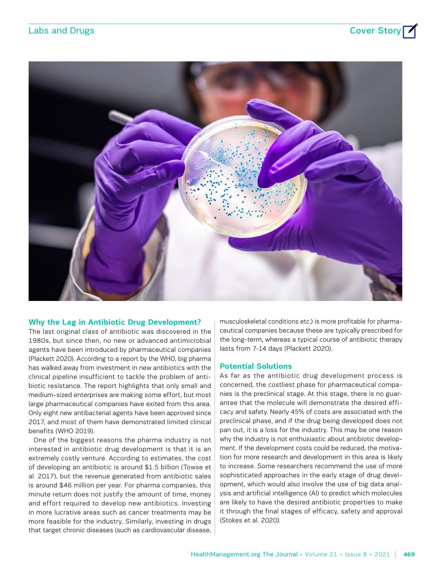

#### **Why the Lag in Antibiotic Drug Development?**

The last original class of antibiotic was discovered in the 1980s, but since then, no new or advanced antimicrobial agents have been introduced by pharmaceutical companies (Plackett 2020). According to a report by the WHO, big pharma has walked away from investment in new antibiotics with the clinical pipeline insufficient to tackle the problem of antibiotic resistance. The report highlights that only small and medium-sized enterprises are making some effort, but most large pharmaceutical companies have exited from this area. Only eight new antibacterial agents have been approved since 2017, and most of them have demonstrated limited clinical benefits (WHO 2019).

One of the biggest reasons the pharma industry is not interested in antibiotic drug development is that it is an extremely costly venture. According to estimates, the cost of developing an antibiotic is around \$1.5 billion (Towse et al. 2017), but the revenue generated from antibiotic sales is around \$46 million per year. For pharma companies, this minute return does not justify the amount of time, money and effort required to develop new antibiotics. Investing in more lucrative areas such as cancer treatments may be more feasible for the industry. Similarly, investing in drugs that target chronic diseases (such as cardiovascular disease, musculoskeletal conditions etc.) is more profitable for pharmaceutical companies because these are typically prescribed for the long-term, whereas a typical course of antibiotic therapy lasts from 7-14 days (Plackett 2020).

#### **Potential Solutions**

As far as the antibiotic drug development process is concerned, the costliest phase for pharmaceutical companies is the preclinical stage. At this stage, there is no guarantee that the molecule will demonstrate the desired efficacy and safety. Nearly 45% of costs are associated with the preclinical phase, and if the drug being developed does not pan out, it is a loss for the industry. This may be one reason why the industry is not enthusiastic about antibiotic development. If the development costs could be reduced, the motivation for more research and development in this area is likely to increase. Some researchers recommend the use of more sophisticated approaches in the early stage of drug development, which would also involve the use of big data analysis and artificial intelligence (AI) to predict which molecules are likely to have the desired antibiotic properties to make it through the final stages of efficacy, safety and approval (Stokes et al. 2020).